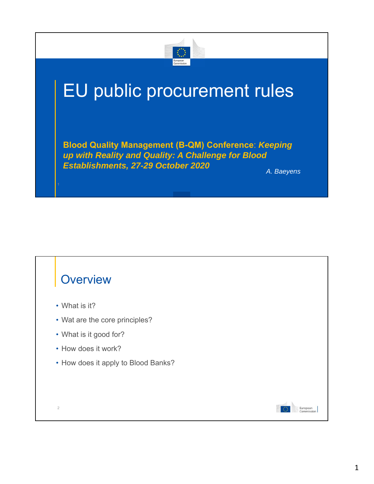

## EU public procurement rules

**Blood Quality Management (B-QM) Conference**: *Keeping up with Reality and Quality: A Challenge for Blood Establishments, 27-29 October 2020 A. Baeyens*

## **Overview**

• What is it?

2

- Wat are the core principles?
- What is it good for?
- How does it work?
- How does it apply to Blood Banks?

European<br>Commission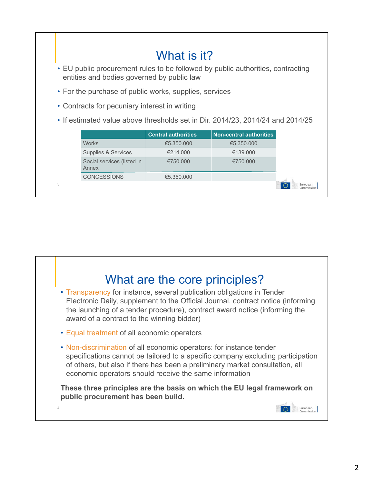|                                                                                | What is it?                                                                                                                   |                                     |                            |                         |            |
|--------------------------------------------------------------------------------|-------------------------------------------------------------------------------------------------------------------------------|-------------------------------------|----------------------------|-------------------------|------------|
|                                                                                | • EU public procurement rules to be followed by public authorities, contracting<br>entities and bodies governed by public law |                                     |                            |                         |            |
|                                                                                | • For the purchase of public works, supplies, services                                                                        |                                     |                            |                         |            |
|                                                                                | • Contracts for pecuniary interest in writing                                                                                 |                                     |                            |                         |            |
| • If estimated value above thresholds set in Dir. 2014/23, 2014/24 and 2014/25 |                                                                                                                               |                                     |                            |                         |            |
|                                                                                |                                                                                                                               |                                     | <b>Central authorities</b> | Non-central authorities |            |
|                                                                                |                                                                                                                               | <b>Works</b>                        | €5.350,000                 | €5.350.000              |            |
|                                                                                |                                                                                                                               | Supplies & Services                 | €214.000                   | €139,000                |            |
|                                                                                |                                                                                                                               | Social services (listed in<br>Annex | €750.000                   | €750.000                |            |
|                                                                                |                                                                                                                               | <b>CONCESSIONS</b>                  | €5.350.000                 |                         |            |
|                                                                                | 3                                                                                                                             |                                     |                            |                         | Commission |

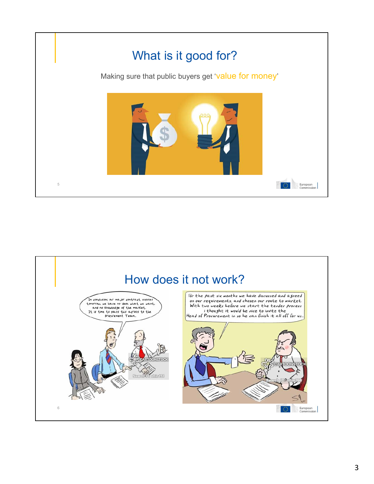

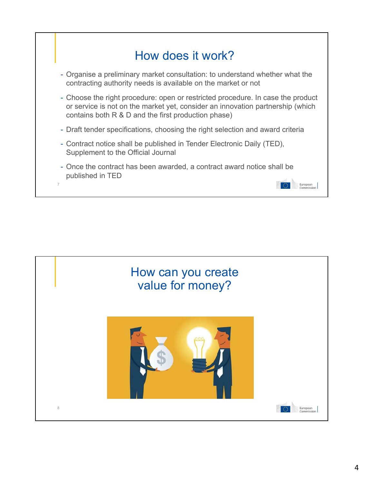

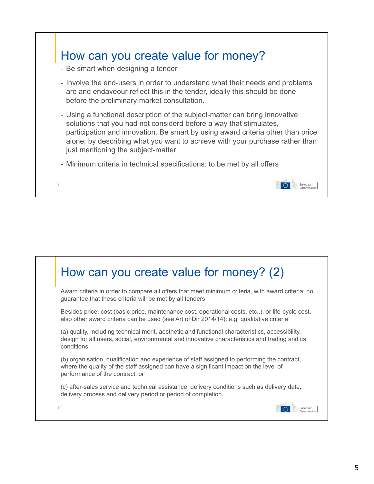

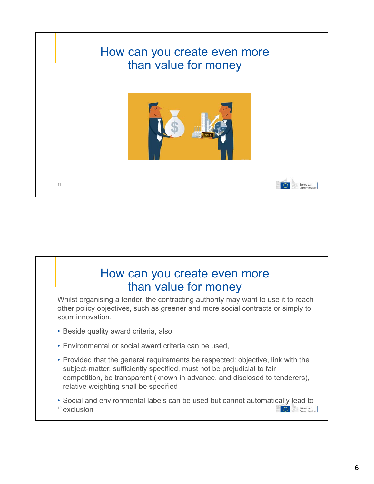

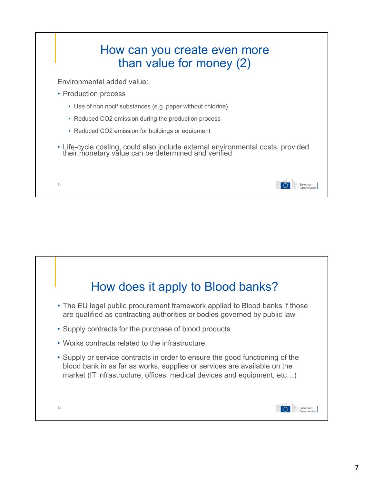